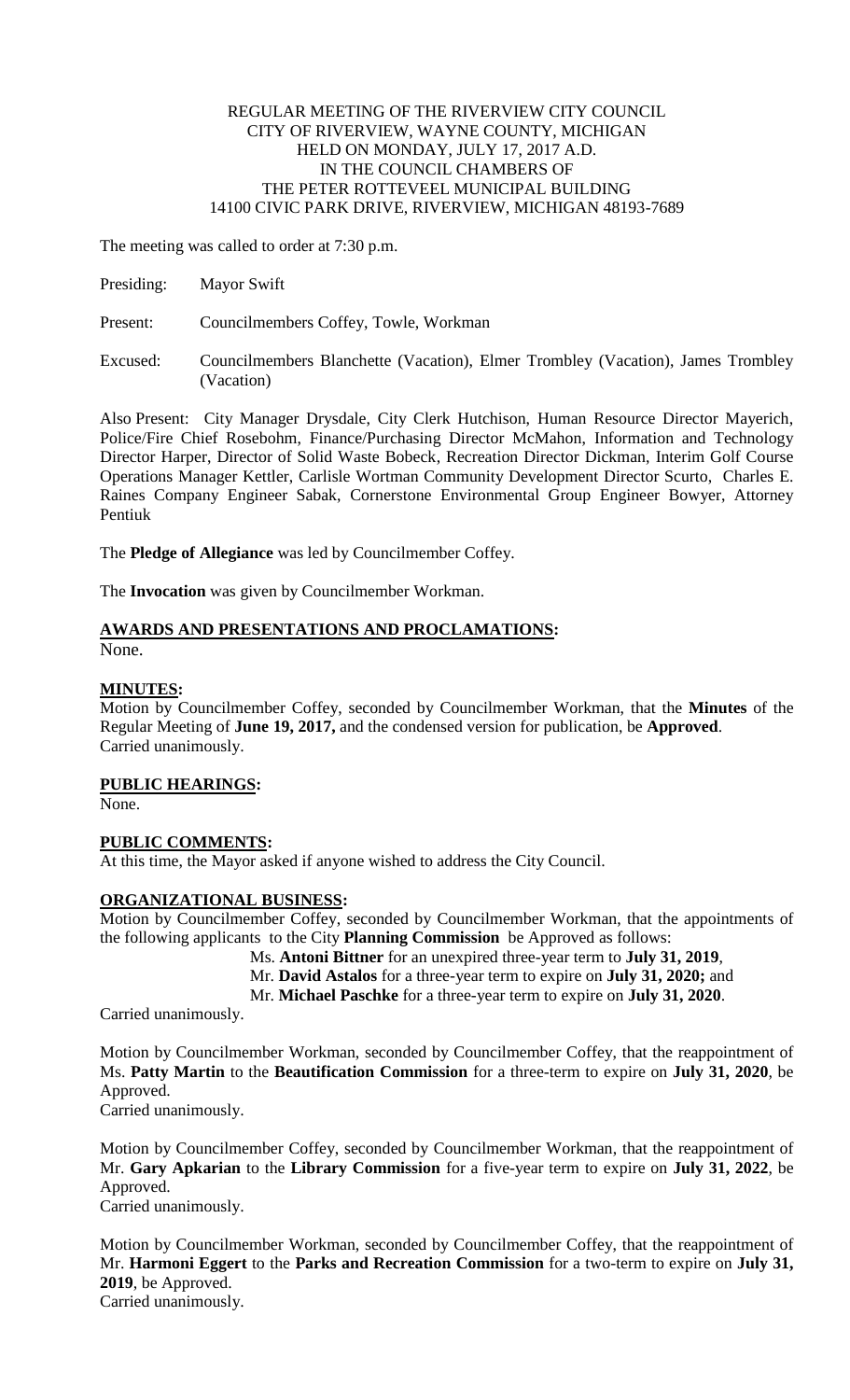### REGULAR MEETING OF THE RIVERVIEW CITY COUNCIL CITY OF RIVERVIEW, WAYNE COUNTY, MICHIGAN HELD ON MONDAY, JULY 17, 2017 A.D. IN THE COUNCIL CHAMBERS OF THE PETER ROTTEVEEL MUNICIPAL BUILDING 14100 CIVIC PARK DRIVE, RIVERVIEW, MICHIGAN 48193-7689

The meeting was called to order at 7:30 p.m.

Present: Councilmembers Coffey, Towle, Workman

Excused: Councilmembers Blanchette (Vacation), Elmer Trombley (Vacation), James Trombley (Vacation)

Also Present: City Manager Drysdale, City Clerk Hutchison, Human Resource Director Mayerich, Police/Fire Chief Rosebohm, Finance/Purchasing Director McMahon, Information and Technology Director Harper, Director of Solid Waste Bobeck, Recreation Director Dickman, Interim Golf Course Operations Manager Kettler, Carlisle Wortman Community Development Director Scurto, Charles E. Raines Company Engineer Sabak, Cornerstone Environmental Group Engineer Bowyer, Attorney Pentiuk

The **Pledge of Allegiance** was led by Councilmember Coffey.

The **Invocation** was given by Councilmember Workman.

# **AWARDS AND PRESENTATIONS AND PROCLAMATIONS:**

None.

# **MINUTES:**

Motion by Councilmember Coffey, seconded by Councilmember Workman, that the **Minutes** of the Regular Meeting of **June 19, 2017,** and the condensed version for publication, be **Approved**. Carried unanimously.

# **PUBLIC HEARINGS:**

None.

# **PUBLIC COMMENTS:**

At this time, the Mayor asked if anyone wished to address the City Council.

# **ORGANIZATIONAL BUSINESS:**

Motion by Councilmember Coffey, seconded by Councilmember Workman, that the appointments of the following applicants to the City **Planning Commission** be Approved as follows:

Ms. **Antoni Bittner** for an unexpired three-year term to **July 31, 2019**,

Mr. **David Astalos** for a three-year term to expire on **July 31, 2020;** and

Mr. **Michael Paschke** for a three-year term to expire on **July 31, 2020**.

Carried unanimously.

Motion by Councilmember Workman, seconded by Councilmember Coffey, that the reappointment of Ms. **Patty Martin** to the **Beautification Commission** for a three-term to expire on **July 31, 2020**, be Approved.

Carried unanimously.

Motion by Councilmember Coffey, seconded by Councilmember Workman, that the reappointment of Mr. **Gary Apkarian** to the **Library Commission** for a five-year term to expire on **July 31, 2022**, be Approved.

Carried unanimously.

Motion by Councilmember Workman, seconded by Councilmember Coffey, that the reappointment of Mr. **Harmoni Eggert** to the **Parks and Recreation Commission** for a two-term to expire on **July 31, 2019**, be Approved.

Carried unanimously.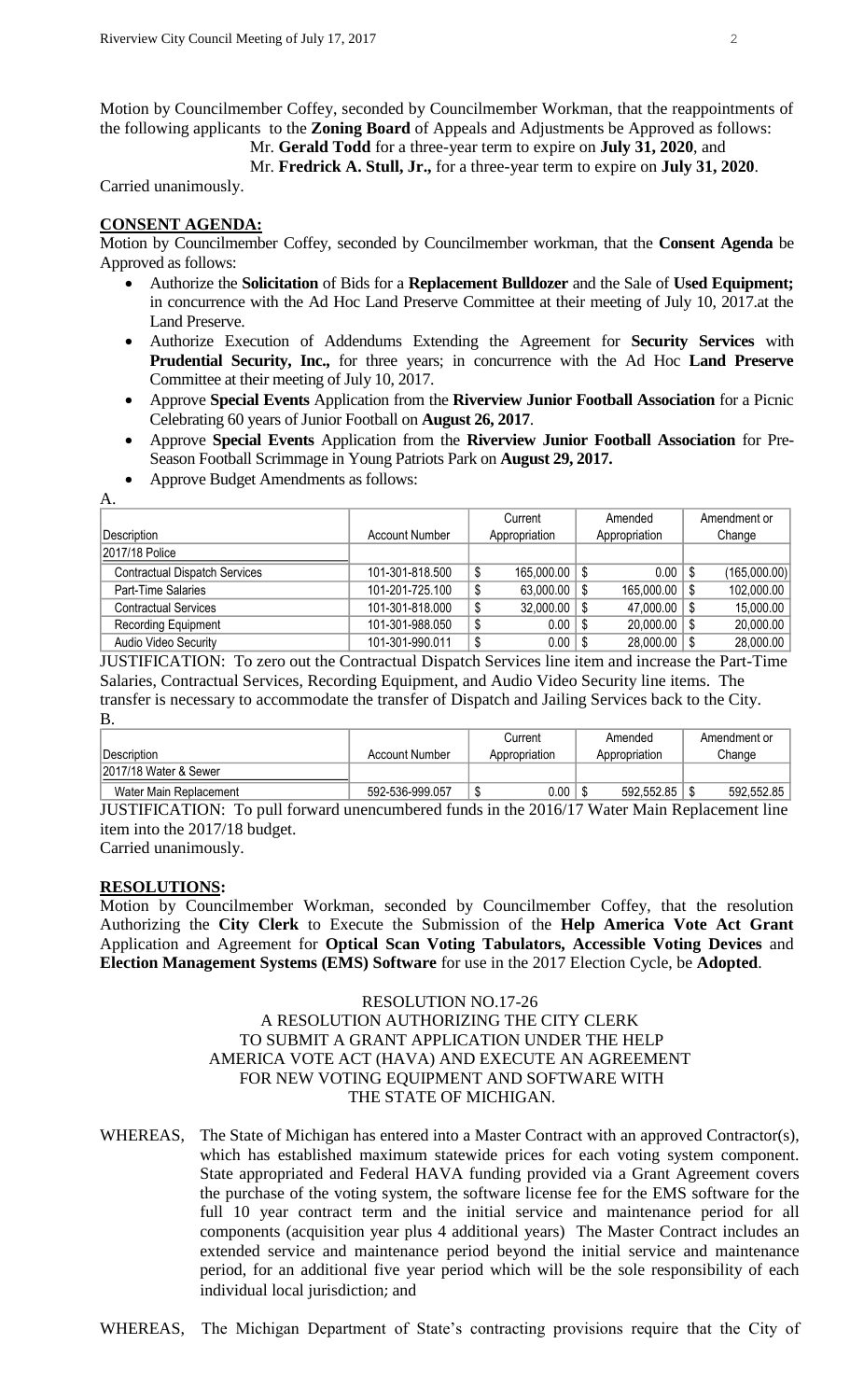Motion by Councilmember Coffey, seconded by Councilmember Workman, that the reappointments of the following applicants to the **Zoning Board** of Appeals and Adjustments be Approved as follows:

Mr. **Gerald Todd** for a three-year term to expire on **July 31, 2020**, and

Mr. **Fredrick A. Stull, Jr.,** for a three-year term to expire on **July 31, 2020**.

Carried unanimously.

#### **CONSENT AGENDA:**

Motion by Councilmember Coffey, seconded by Councilmember workman, that the **Consent Agenda** be Approved as follows:

- Authorize the **Solicitation** of Bids for a **Replacement Bulldozer** and the Sale of **Used Equipment;** in concurrence with the Ad Hoc Land Preserve Committee at their meeting of July 10, 2017.at the Land Preserve.
- Authorize Execution of Addendums Extending the Agreement for **Security Services** with **Prudential Security, Inc.,** for three years; in concurrence with the Ad Hoc **Land Preserve** Committee at their meeting of July 10, 2017.
- Approve **Special Events** Application from the **Riverview Junior Football Association** for a Picnic Celebrating 60 years of Junior Football on **August 26, 2017**.
- Approve **Special Events** Application from the **Riverview Junior Football Association** for Pre-Season Football Scrimmage in Young Patriots Park on **August 29, 2017.**
- Approve Budget Amendments as follows:

A.

|                                      |                 |    | Current              |               | Amended                 |        | Amendment or |
|--------------------------------------|-----------------|----|----------------------|---------------|-------------------------|--------|--------------|
| Description                          | Account Number  |    | Appropriation        | Appropriation |                         | Change |              |
| 2017/18 Police                       |                 |    |                      |               |                         |        |              |
| <b>Contractual Dispatch Services</b> | 101-301-818.500 | \$ | $165,000.00$ \$      |               | $0.00$   \$             |        | (165,000.00) |
| Part-Time Salaries                   | 101-201-725.100 |    | 63,000.00 $\vert$ \$ |               | $165,000.00$   \$       |        | 102,000.00   |
| <b>Contractual Services</b>          | 101-301-818.000 | S  | 32,000.00            | S             | 47,000.00 $\frac{1}{9}$ |        | 15,000.00    |
| Recording Equipment                  | 101-301-988.050 | S  | $0.00$   \$          |               | $20,000.00$   \$        |        | 20,000.00    |
| Audio Video Security                 | 101-301-990.011 | \$ | $0.00$   \$          |               | $28,000.00$   \$        |        | 28,000.00    |

JUSTIFICATION: To zero out the Contractual Dispatch Services line item and increase the Part-Time Salaries, Contractual Services, Recording Equipment, and Audio Video Security line items. The transfer is necessary to accommodate the transfer of Dispatch and Jailing Services back to the City. B.

|                        |                 | Current       | Amended       | Amendment or |
|------------------------|-----------------|---------------|---------------|--------------|
| Description            | Account Number  | Appropriation | Appropriation | Change       |
| 2017/18 Water & Sewer  |                 |               |               |              |
| Water Main Replacement | 592-536-999.057 | $0.00\,$      | 592.552.85    | 592.552.85   |

JUSTIFICATION: To pull forward unencumbered funds in the 2016/17 Water Main Replacement line item into the 2017/18 budget.

Carried unanimously.

#### **RESOLUTIONS:**

Motion by Councilmember Workman, seconded by Councilmember Coffey, that the resolution Authorizing the **City Clerk** to Execute the Submission of the **Help America Vote Act Grant** Application and Agreement for **Optical Scan Voting Tabulators, Accessible Voting Devices** and **Election Management Systems (EMS) Software** for use in the 2017 Election Cycle, be **Adopted**.

# RESOLUTION NO.17-26 A RESOLUTION AUTHORIZING THE CITY CLERK TO SUBMIT A GRANT APPLICATION UNDER THE HELP AMERICA VOTE ACT (HAVA) AND EXECUTE AN AGREEMENT FOR NEW VOTING EQUIPMENT AND SOFTWARE WITH THE STATE OF MICHIGAN.

WHEREAS, The State of Michigan has entered into a Master Contract with an approved Contractor(s), which has established maximum statewide prices for each voting system component. State appropriated and Federal HAVA funding provided via a Grant Agreement covers the purchase of the voting system, the software license fee for the EMS software for the full 10 year contract term and the initial service and maintenance period for all components (acquisition year plus 4 additional years) The Master Contract includes an extended service and maintenance period beyond the initial service and maintenance period, for an additional five year period which will be the sole responsibility of each individual local jurisdiction; and

WHEREAS, The Michigan Department of State's contracting provisions require that the City of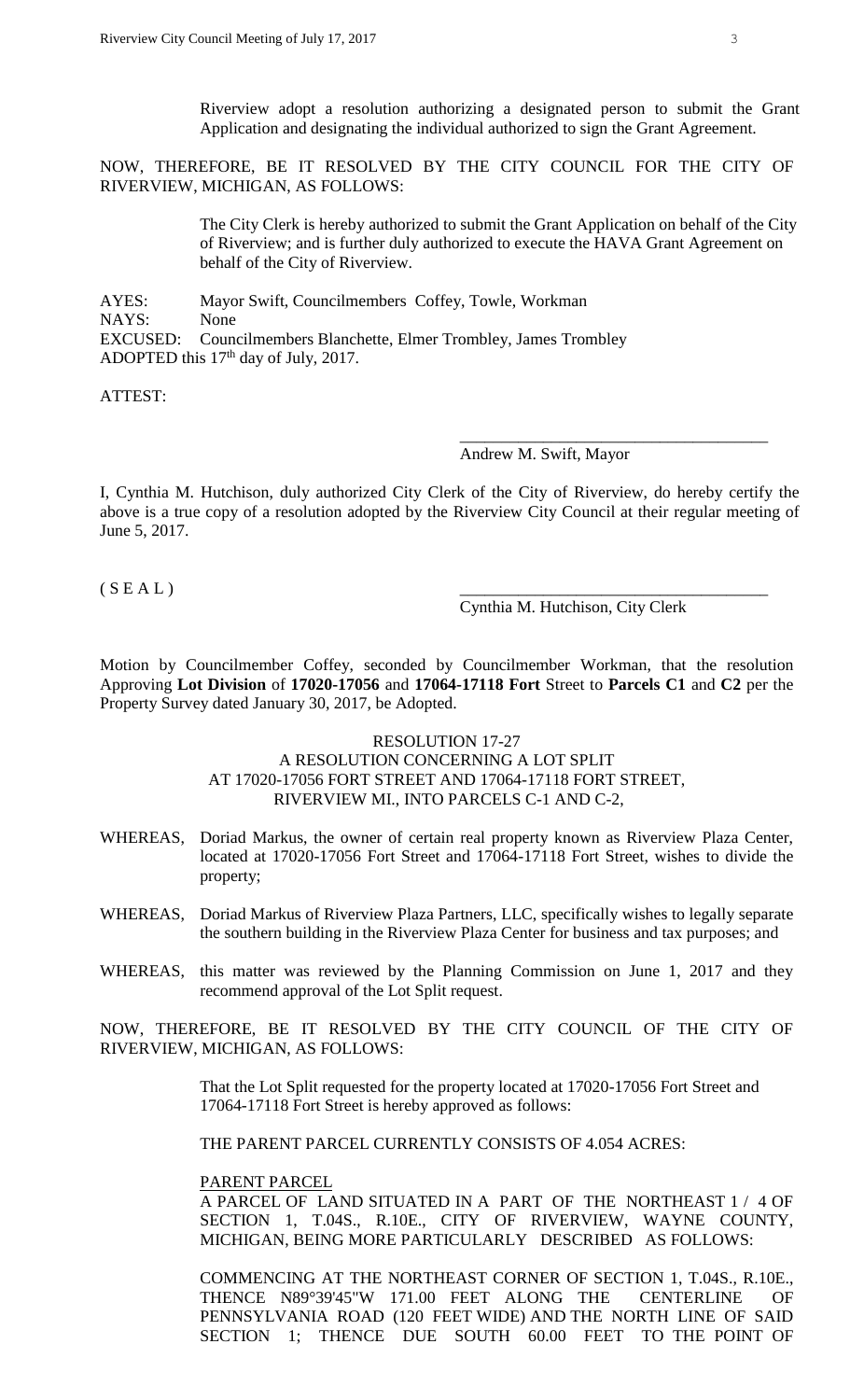Riverview adopt a resolution authorizing a designated person to submit the Grant Application and designating the individual authorized to sign the Grant Agreement.

NOW, THEREFORE, BE IT RESOLVED BY THE CITY COUNCIL FOR THE CITY OF RIVERVIEW, MICHIGAN, AS FOLLOWS:

> The City Clerk is hereby authorized to submit the Grant Application on behalf of the City of Riverview; and is further duly authorized to execute the HAVA Grant Agreement on behalf of the City of Riverview.

AYES: Mayor Swift, Councilmembers Coffey, Towle, Workman NAYS: None EXCUSED: Councilmembers Blanchette, Elmer Trombley, James Trombley ADOPTED this  $17<sup>th</sup>$  day of July, 2017.

ATTEST:

### Andrew M. Swift, Mayor

I, Cynthia M. Hutchison, duly authorized City Clerk of the City of Riverview, do hereby certify the above is a true copy of a resolution adopted by the Riverview City Council at their regular meeting of June 5, 2017.

 $(S E A L)$ 

Cynthia M. Hutchison, City Clerk

\_\_\_\_\_\_\_\_\_\_\_\_\_\_\_\_\_\_\_\_\_\_\_\_\_\_\_\_\_\_\_\_\_\_\_\_\_

Motion by Councilmember Coffey, seconded by Councilmember Workman, that the resolution Approving **Lot Division** of **17020-17056** and **17064-17118 Fort** Street to **Parcels C1** and **C2** per the Property Survey dated January 30, 2017, be Adopted.

#### RESOLUTION 17-27

### A RESOLUTION CONCERNING A LOT SPLIT AT 17020-17056 FORT STREET AND 17064-17118 FORT STREET, RIVERVIEW MI., INTO PARCELS C-1 AND C-2,

- WHEREAS, Doriad Markus, the owner of certain real property known as Riverview Plaza Center, located at 17020-17056 Fort Street and 17064-17118 Fort Street, wishes to divide the property;
- WHEREAS, Doriad Markus of Riverview Plaza Partners, LLC, specifically wishes to legally separate the southern building in the Riverview Plaza Center for business and tax purposes; and
- WHEREAS, this matter was reviewed by the Planning Commission on June 1, 2017 and they recommend approval of the Lot Split request.

NOW, THEREFORE, BE IT RESOLVED BY THE CITY COUNCIL OF THE CITY OF RIVERVIEW, MICHIGAN, AS FOLLOWS:

> That the Lot Split requested for the property located at 17020-17056 Fort Street and 17064-17118 Fort Street is hereby approved as follows:

THE PARENT PARCEL CURRENTLY CONSISTS OF 4.054 ACRES:

#### PARENT PARCEL

A PARCEL OF LAND SITUATED IN A PART OF THE NORTHEAST 1 / 4 OF SECTION 1, T.04S., R.10E., CITY OF RIVERVIEW, WAYNE COUNTY, MICHIGAN, BEING MORE PARTICULARLY DESCRIBED AS FOLLOWS:

COMMENCING AT THE NORTHEAST CORNER OF SECTION 1, T.04S., R.10E., THENCE N89°39'45"W 171.00 FEET ALONG THE CENTERLINE OF PENNSYLVANIA ROAD (120 FEET WIDE) AND THE NORTH LINE OF SAID SECTION 1; THENCE DUE SOUTH 60.00 FEET TO THE POINT OF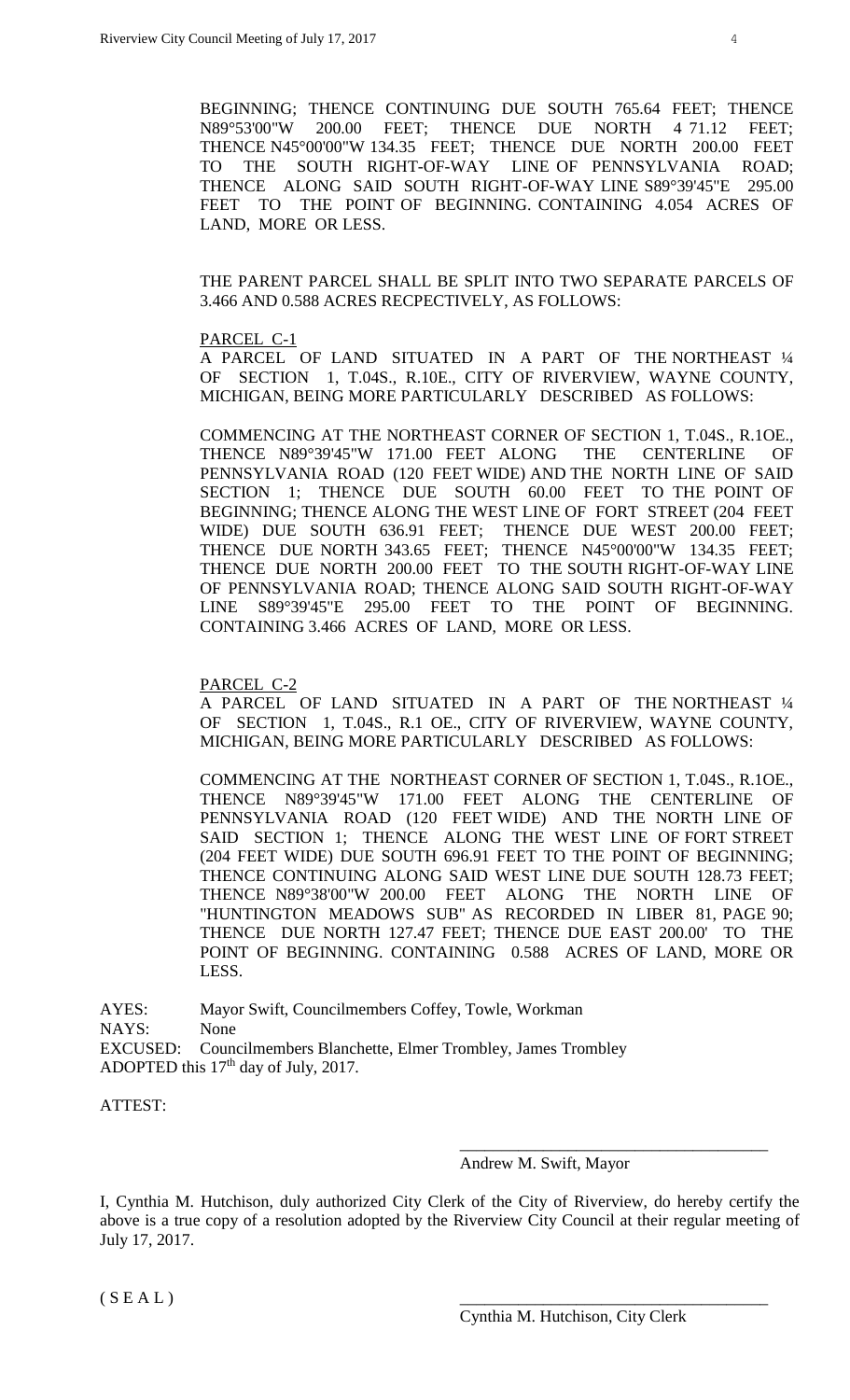BEGINNING; THENCE CONTINUING DUE SOUTH 765.64 FEET; THENCE N89°53'00"W 200.00 FEET; THENCE DUE NORTH 4 71.12 FEET; THENCE N45°00'00"W 134.35 FEET; THENCE DUE NORTH 200.00 FEET TO THE SOUTH RIGHT-OF-WAY LINE OF PENNSYLVANIA ROAD; THENCE ALONG SAID SOUTH RIGHT-OF-WAY LINE S89°39'45"E 295.00 FEET TO THE POINT OF BEGINNING. CONTAINING 4.054 ACRES OF LAND, MORE OR LESS.

THE PARENT PARCEL SHALL BE SPLIT INTO TWO SEPARATE PARCELS OF 3.466 AND 0.588 ACRES RECPECTIVELY, AS FOLLOWS:

#### PARCEL C-1

A PARCEL OF LAND SITUATED IN A PART OF THE NORTHEAST ¼ OF SECTION 1, T.04S., R.10E., CITY OF RIVERVIEW, WAYNE COUNTY, MICHIGAN, BEING MORE PARTICULARLY DESCRIBED AS FOLLOWS:

COMMENCING AT THE NORTHEAST CORNER OF SECTION 1, T.04S., R.1OE., THENCE N89°39'45"W 171.00 FEET ALONG THE CENTERLINE OF PENNSYLVANIA ROAD (120 FEET WIDE) AND THE NORTH LINE OF SAID SECTION 1; THENCE DUE SOUTH 60.00 FEET TO THE POINT OF BEGINNING; THENCE ALONG THE WEST LINE OF FORT STREET (204 FEET WIDE) DUE SOUTH 636.91 FEET; THENCE DUE WEST 200.00 FEET; THENCE DUE NORTH 343.65 FEET; THENCE N45°00'00"W 134.35 FEET; THENCE DUE NORTH 200.00 FEET TO THE SOUTH RIGHT-OF-WAY LINE OF PENNSYLVANIA ROAD; THENCE ALONG SAID SOUTH RIGHT-OF-WAY LINE S89°39'45"E 295.00 FEET TO THE POINT OF BEGINNING. CONTAINING 3.466 ACRES OF LAND, MORE OR LESS.

### PARCEL C-2

A PARCEL OF LAND SITUATED IN A PART OF THE NORTHEAST ¼ OF SECTION 1, T.04S., R.1 OE., CITY OF RIVERVIEW, WAYNE COUNTY, MICHIGAN, BEING MORE PARTICULARLY DESCRIBED AS FOLLOWS:

COMMENCING AT THE NORTHEAST CORNER OF SECTION 1, T.04S., R.1OE., THENCE N89°39'45"W 171.00 FEET ALONG THE CENTERLINE OF PENNSYLVANIA ROAD (120 FEET WIDE) AND THE NORTH LINE OF SAID SECTION 1; THENCE ALONG THE WEST LINE OF FORT STREET (204 FEET WIDE) DUE SOUTH 696.91 FEET TO THE POINT OF BEGINNING; THENCE CONTINUING ALONG SAID WEST LINE DUE SOUTH 128.73 FEET; THENCE N89°38'00"W 200.00 FEET ALONG THE NORTH LINE OF "HUNTINGTON MEADOWS SUB" AS RECORDED IN LIBER 81, PAGE 90; THENCE DUE NORTH 127.47 FEET; THENCE DUE EAST 200.00' TO THE POINT OF BEGINNING. CONTAINING 0.588 ACRES OF LAND, MORE OR LESS.

AYES: Mayor Swift, Councilmembers Coffey, Towle, Workman NAYS: None EXCUSED: Councilmembers Blanchette, Elmer Trombley, James Trombley ADOPTED this  $17<sup>th</sup>$  day of July, 2017.

ATTEST:

#### Andrew M. Swift, Mayor

\_\_\_\_\_\_\_\_\_\_\_\_\_\_\_\_\_\_\_\_\_\_\_\_\_\_\_\_\_\_\_\_\_\_\_\_\_

I, Cynthia M. Hutchison, duly authorized City Clerk of the City of Riverview, do hereby certify the above is a true copy of a resolution adopted by the Riverview City Council at their regular meeting of July 17, 2017.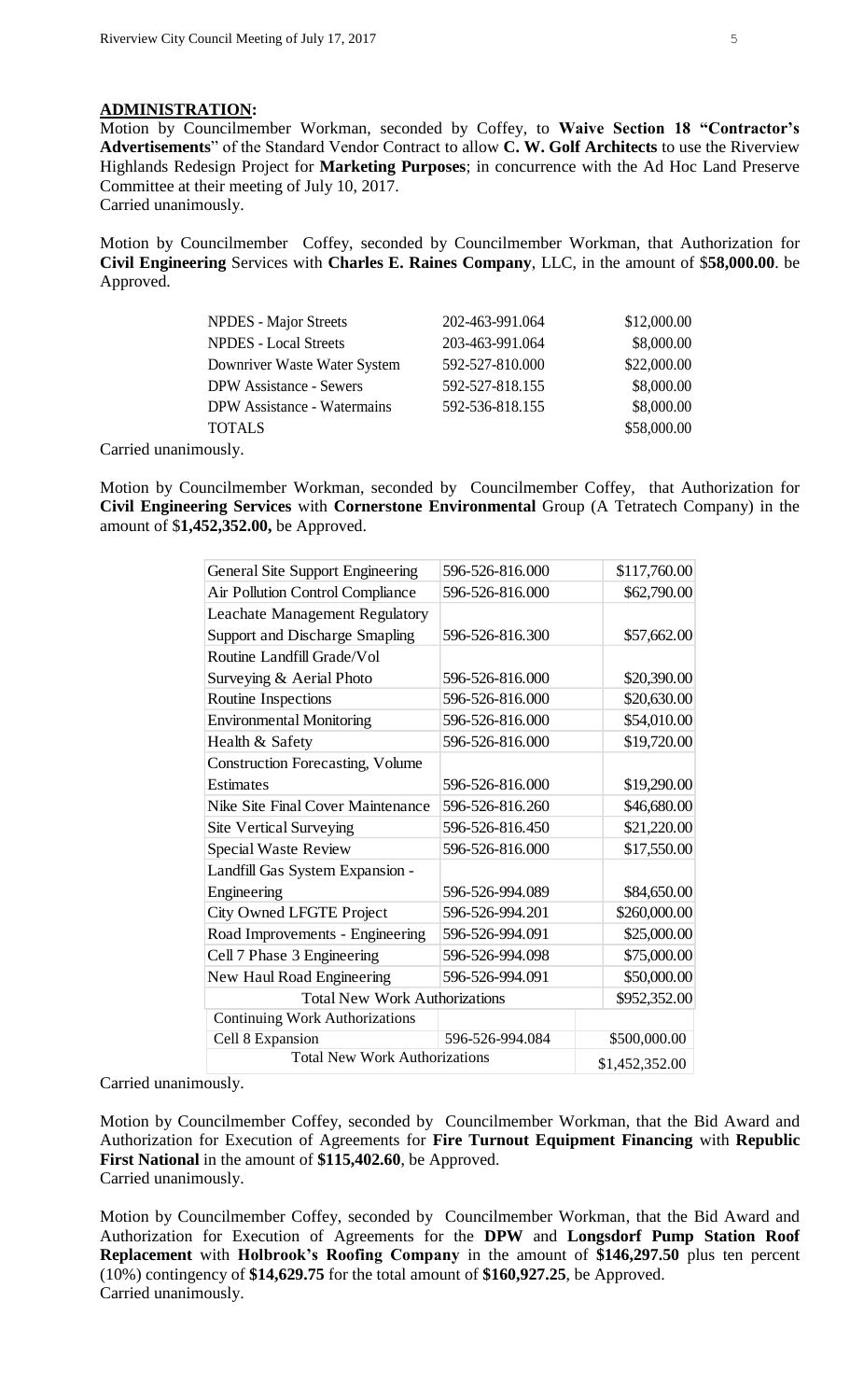### **ADMINISTRATION:**

Motion by Councilmember Workman, seconded by Coffey, to **Waive Section 18 "Contractor's Advertisements**" of the Standard Vendor Contract to allow **C. W. Golf Architects** to use the Riverview Highlands Redesign Project for **Marketing Purposes**; in concurrence with the Ad Hoc Land Preserve Committee at their meeting of July 10, 2017. Carried unanimously.

Motion by Councilmember Coffey, seconded by Councilmember Workman, that Authorization for **Civil Engineering** Services with **Charles E. Raines Company**, LLC, in the amount of \$**58,000.00**. be Approved.

| <b>NPDES</b> - Major Streets       | 202-463-991.064 | \$12,000.00 |
|------------------------------------|-----------------|-------------|
| <b>NPDES</b> - Local Streets       | 203-463-991.064 | \$8,000.00  |
| Downriver Waste Water System       | 592-527-810.000 | \$22,000.00 |
| <b>DPW</b> Assistance - Sewers     | 592-527-818.155 | \$8,000.00  |
| <b>DPW</b> Assistance - Watermains | 592-536-818.155 | \$8,000.00  |
| <b>TOTALS</b>                      |                 | \$58,000.00 |
| $\sim$ $\sim$ $\sim$ $\sim$        |                 |             |

Carried unanimously.

Motion by Councilmember Workman, seconded by Councilmember Coffey, that Authorization for **Civil Engineering Services** with **Cornerstone Environmental** Group (A Tetratech Company) in the amount of \$**1,452,352.00,** be Approved.

| General Site Support Engineering        | 596-526-816.000 |  | \$117,760.00   |  |
|-----------------------------------------|-----------------|--|----------------|--|
| Air Pollution Control Compliance        | 596-526-816.000 |  | \$62,790.00    |  |
| <b>Leachate Management Regulatory</b>   |                 |  |                |  |
| Support and Discharge Smapling          | 596-526-816.300 |  | \$57,662.00    |  |
| Routine Landfill Grade/Vol              |                 |  |                |  |
| Surveying & Aerial Photo                | 596-526-816.000 |  | \$20,390.00    |  |
| Routine Inspections                     | 596-526-816.000 |  | \$20,630.00    |  |
| <b>Environmental Monitoring</b>         | 596-526-816.000 |  | \$54,010.00    |  |
| Health & Safety                         | 596-526-816.000 |  | \$19,720.00    |  |
| <b>Construction Forecasting, Volume</b> |                 |  |                |  |
| <b>Estimates</b>                        | 596-526-816.000 |  | \$19,290.00    |  |
| Nike Site Final Cover Maintenance       | 596-526-816.260 |  | \$46,680.00    |  |
| <b>Site Vertical Surveying</b>          | 596-526-816.450 |  | \$21,220.00    |  |
| Special Waste Review                    | 596-526-816.000 |  | \$17,550.00    |  |
| Landfill Gas System Expansion -         |                 |  |                |  |
| Engineering                             | 596-526-994.089 |  | \$84,650.00    |  |
| <b>City Owned LFGTE Project</b>         | 596-526-994.201 |  | \$260,000.00   |  |
| Road Improvements - Engineering         | 596-526-994.091 |  | \$25,000.00    |  |
| Cell 7 Phase 3 Engineering              | 596-526-994.098 |  | \$75,000.00    |  |
| New Haul Road Engineering               | 596-526-994.091 |  | \$50,000.00    |  |
| <b>Total New Work Authorizations</b>    |                 |  | \$952,352.00   |  |
| <b>Continuing Work Authorizations</b>   |                 |  |                |  |
| Cell 8 Expansion                        | 596-526-994.084 |  | \$500,000.00   |  |
| <b>Total New Work Authorizations</b>    |                 |  | \$1,452,352.00 |  |

Carried unanimously.

Motion by Councilmember Coffey, seconded by Councilmember Workman, that the Bid Award and Authorization for Execution of Agreements for **Fire Turnout Equipment Financing** with **Republic First National** in the amount of **\$115,402.60**, be Approved. Carried unanimously.

Motion by Councilmember Coffey, seconded by Councilmember Workman, that the Bid Award and Authorization for Execution of Agreements for the **DPW** and **Longsdorf Pump Station Roof Replacement** with **Holbrook's Roofing Company** in the amount of **\$146,297.50** plus ten percent (10%) contingency of **\$14,629.75** for the total amount of **\$160,927.25**, be Approved. Carried unanimously.